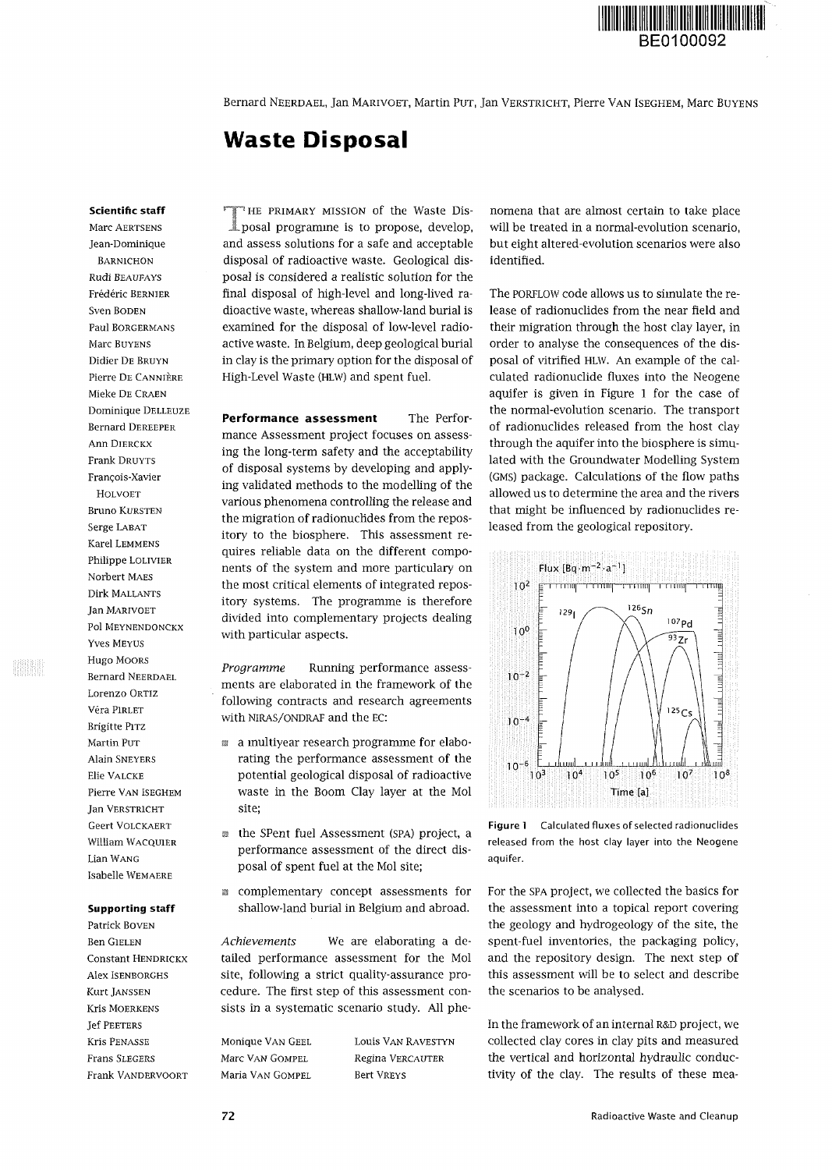

Bernard NEERDAEL, Jan MARIVOET, Martin PUT, Jan VERSTRICHT, Pierre VAN ISEGHEM, Marc BUYENS

# **Waste Disposal**

### **Scientific staff**

Marc AERTSENS Jean-Dominique BARNICHON Rudi BEAUFAYS Frédéric BERNIER Sven BODEN Paul BORGERMANS Marc BUYENS Didier DE BRUYN Pierre DE CANNIÈRE Mieke DE CRAEN Dominique DELLEUZE Bernard DEREEPER Ann DIERCKX Frank DRUYTS François-Xavier HOLVOET Bruno KURSTEN Serge LABAT Karel LEMMENS Philippe LOLIVIER Norbert MAES Dirk MALLANTS Jan MARIVOET Pol MEYNENDONCKX Yves MEYUS Hugo MOORS Bernard NEERDAEL Lorenzo ORTIZ Vera PIRLET Brigitte PITZ Martin PUT Alain SNEYERS Elie VALCKE Pierre VAN ISEGHEM Jan VERSTRICHT Geert VOLCKAERT William WACQUIER Lian WANG Isabelle WEMAERE

# **Supporting staff**

Patrick BOVEN Ben GIELEN Constant HENDRICKX Alex ISENBORGHS Kurt JANSSEN Kris MOERKENS Jef PEETERS Kris PENASSE Frans SLEGERS Frank VANDERVOORT

THE PRIMARY MISSION of the Waste Disposal programme is to propose, develop, '«HE PRIMARY MISSION of the Waste Disand assess solutions for a safe and acceptable disposal of radioactive waste. Geological disposal is considered a realistic solution for the final disposal of high-level and long-lived radioactive waste, whereas shallow-land burial is examined for the disposal of low-level radioactive waste. In Belgium, deep geological burial in clay is the primary option for the disposal of High-Level Waste (HLW) and spent fuel.

**Performance assessment** The Performance Assessment project focuses on assessing the long-term safety and the acceptability of disposal systems by developing and applying validated methods to the modelling of the various phenomena controlling the release and the migration of radionuclides from the repository to the biosphere. This assessment requires reliable data on the different components of the system and more particulary on the most critical elements of integrated repository systems. The programme is therefore divided into complementary projects dealing with particular aspects.

*Programme* Running performance assessments are elaborated in the framework of the following contracts and research agreements with NIRAS/ONDRAF and the EC:

- *m* a multiyear research programme for elaborating the performance assessment of the potential geological disposal of radioactive waste in the Boom Clay layer at the Mol site;
- the SPent fuel Assessment (SPA) project, a performance assessment of the direct disposal of spent fuel at the Mol site;
- a complementary concept assessments for shallow-land burial in Belgium and abroad.

*Achievements* We are elaborating a detailed performance assessment for the Mol site, following a strict quality-assurance procedure. The first step of this assessment consists in a systematic scenario study. All phe-

Monique VAN GEEL Marc VAN GOMPEL Maria VAN GOMPEL

Louis VAN RAVESTYN Regina VERCAUTER Bert VREYS

nomena that are almost certain to take place will be treated in a normal-evolution scenario, but eight altered-evolution scenarios were also identified.

The PORFLOW code allows us to simulate the release of radionuclides from the near field and their migration through the host clay layer, in order to analyse the consequences of the disposal of vitrified HLW. An example of the calculated radionuclide fluxes into the Neogene aquifer is given in Figure 1 for the case of the normal-evolution scenario. The transport of radionuclides released from the host clay through the aquifer into the biosphere is simulated with the Groundwater Modelling System (GMS) package. Calculations of the flow paths allowed us to determine the area and the rivers that might be influenced by radionuclides released from the geological repository.



**Figure 1** Calculated fluxes of selected radionuclides released from the host clay layer into the Neogene aquifer.

For the SPA project, we collected the basics for the assessment into a topical report covering the geology and hydrogeology of the site, the spent-fuel inventories, the packaging policy, and the repository design. The next step of this assessment will be to select and describe the scenarios to be analysed.

In the framework of an internal R&D project, we collected clay cores in clay pits and measured the vertical and horizontal hydraulic conductivity of the clay. The results of these mea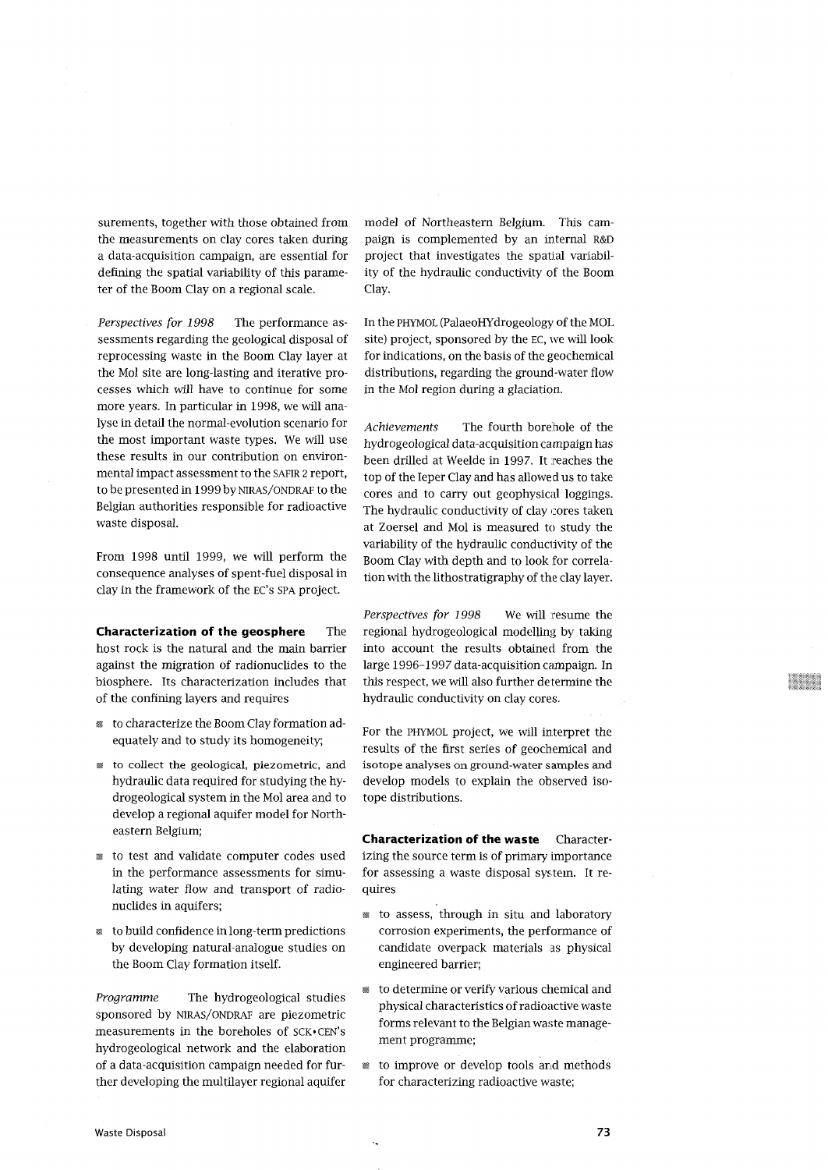surements, together with those obtained from the measurements on clay cores taken during a data-acquisition campaign, are essential for defining the spatial variability of this parameter of the Boom Clay on a regional scale.

*Perspectives for 1998* The performance assessments regarding the geological disposal of reprocessing waste in the Boom Clay layer at the Mol site are long-lasting and iterative processes which will have to continue for some more years. In particular in 1998, we will analyse in detail the normal-evolution scenario for the most important waste types. We will use these results in our contribution on environmental impact assessment to the SAFIR 2 report, to be presented in 1999 by NIRAS/ONDRAF to the Belgian authorities responsible for radioactive waste disposal.

From 1998 until 1999, we will perform the consequence analyses of spent-fuel disposal in clay in the framework of the EC's SPA project.

**Characterization of the geosphere The** host rock is the natural and the main barrier against the migration of radionuclides to the biosphere. Its characterization includes that of the confining layers and requires

- to characterize the Boom Clay formation adequately and to study its homogeneity;
- to collect the geological, piezometric, and hydraulic data required for studying the hydrogeological system in the Mol area and to develop a regional aquifer model for Northeastern Belgium;
- to test and validate computer codes used in the performance assessments for simulating water flow and transport of radionuclides in aquifers;
- s to build confidence in long-term predictions by developing natural-analogue studies on the Boom Clay formation itself.

*Programme* The hydrogeological studies sponsored by NIRAS/ONDRAP are piezometric measurements in the boreholes of SCK-CEN's hydrogeological network and the elaboration of a data-acquisition campaign needed for further developing the multilayer regional aquifer model of Northeastern Belgium. This campaign is complemented by an internal R&D project that investigates the spatial variability of the hydraulic conductivity of the Boom Clay.

In the PHYMOL (PalaeoHYdrogeology of the MOL site) project, sponsored by the EC, we will look for indications, on the basis of the geochemical distributions, regarding the ground-water flow in the Mol region during a glaciation.

*Achievements* The fourth borehole of the hydrogeological data-acquisition campaign has been drilled at Weelde in 1997. It reaches the top of the leper Clay and has allowed us to take cores and to carry out geophysical loggings. The hydraulic conductivity of clay cores taken at Zoersel and Mol is measured to study the variability of the hydraulic conductivity of the Boom Clay with depth and to look for correlation with the lithostratigraphy of the clay layer.

*Perspectives for 1998* We will resume the regional hydrogeological modelling by taking into account the results obtained from the large 1996-1997 data-acquisition campaign. In this respect, we will also further determine the hydraulic conductivity on clay cores.

For the PHYMOL project, we will interpret the results of the first series of geochemical and isotope analyses on ground-water samples and develop models to explain the observed isotope distributions.

**Characterization of the waste** Characterizing the source term is of primary importance for assessing a waste disposal system. It requires

- to assess, through in situ and laboratory corrosion experiments, the performance of candidate overpack materials as physical engineered barrier;
- to determine or verify various chemical and physical characteristics of radioactive waste forms relevant to the Belgian waste management programme;
- to improve or develop tools arid methods for characterizing radioactive waste;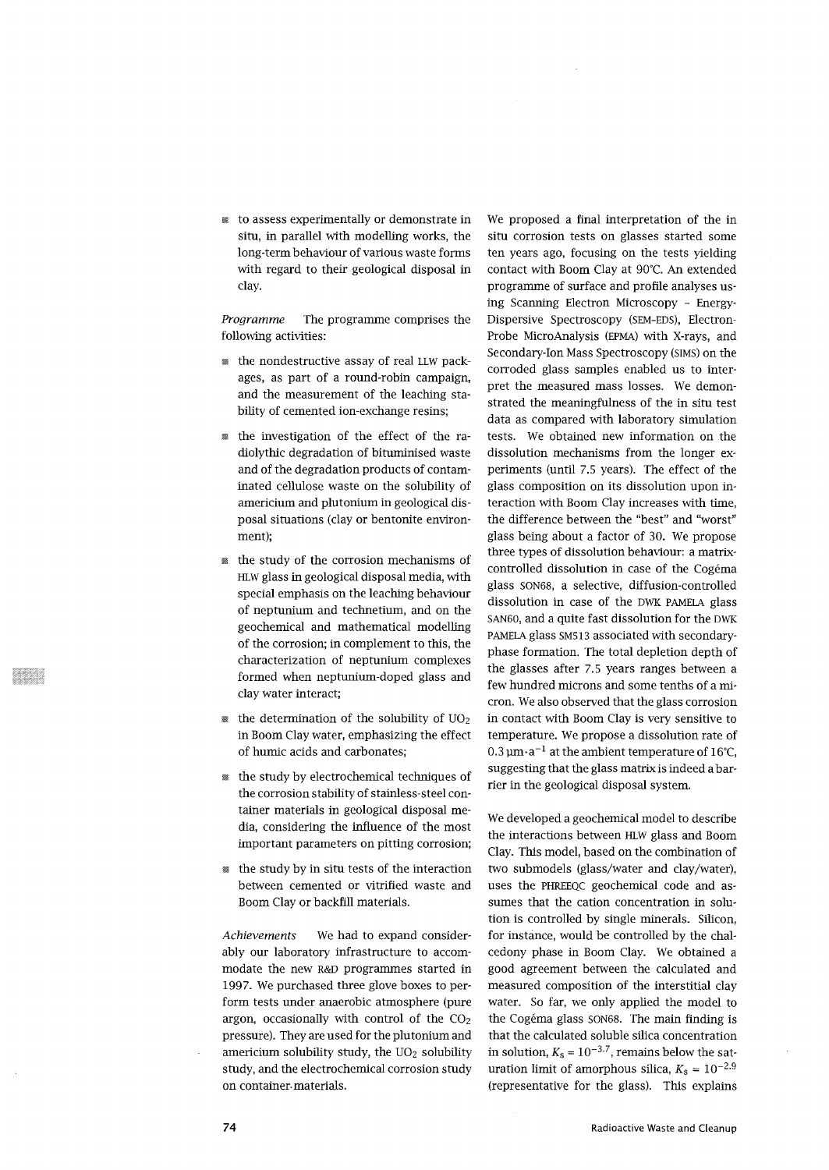*m* to assess experimentally or demonstrate in situ, in parallel with modelling works, the long-term behaviour of various waste forms with regard to their geological disposal in clay.

*Programme* The programme comprises the following activities:

- the nondestructive assay of real LLW packages, as part of a round-robin campaign, and the measurement of the leaching stability of cemented ion-exchange resins;
- *m* the investigation of the effect of the radiolythic degradation of bituminised waste and of the degradation products of contaminated cellulose waste on the solubility of americium and plutonium in geological disposal situations (clay or bentonite environment);
- *m* the study of the corrosion mechanisms of HLW glass in geological disposal media, with special emphasis on the leaching behaviour of neptunium and technetium, and on the geochemical and mathematical modelling of the corrosion; in complement to this, the characterization of neptunium complexes formed when neptunium-doped glass and clay water interact;
- the determination of the solubility of  $UO<sub>2</sub>$ in Boom Clay water, emphasizing the effect of humic acids and carbonates;
- *m* the study by electrochemical techniques of the corrosion stability of stainless-steel container materials in geological disposal media, considering the influence of the most important parameters on pitting corrosion;
- the study by in situ tests of the interaction between cemented or vitrified waste and Boom Clay or backfill materials.

*Achievements* We had to expand considerably our laboratory infrastructure to accommodate the new R&D programmes started in 1997. We purchased three glove boxes to perform tests under anaerobic atmosphere (pure argon, occasionally with control of the  $CO<sub>2</sub>$ pressure). They are used for the plutonium and americium solubility study, the  $UO<sub>2</sub>$  solubility study, and the electrochemical corrosion study on container-materials.

We proposed a final interpretation of the in situ corrosion tests on glasses started some ten years ago, focusing on the tests yielding contact with Boom Clay at 90°C. An extended programme of surface and profile analyses using Scanning Electron Microscopy - Energy-Dispersive Spectroscopy (SEM-EDS), Electron-Probe MicroAnalysis (EPMA) with X-rays, and Secondary-Ion Mass Spectroscopy (SIMS) on the corroded glass samples enabled us to interpret the measured mass losses. We demonstrated the meaningfulness of the in situ test data as compared with laboratory simulation tests. We obtained new information on the dissolution mechanisms from the longer experiments (until 7.5 years). The effect of the glass composition on its dissolution upon interaction with Boom Clay increases with time, the difference between the "best" and "worst" glass being about a factor of 30. We propose three types of dissolution behaviour: a matrixcontrolled dissolution in case of the Cogéma glass SON68, a selective, diffusion-controlled dissolution in case of the DWK PAMELA glass SAN60, and a quite fast dissolution for the DWK PAMELA glass SM513 associated with secondaryphase formation. The total depletion depth of the glasses after 7.5 years ranges between a few hundred microns and some tenths of a micron. We also observed that the glass corrosion in contact with Boom Clay is very sensitive to temperature. We propose a dissolution rate of 0.3 um-a"<sup>1</sup> 0.3  $\mu$ m $\cdot$ a $^{-1}$  at the ambient temperature of 16°C, suggesting that the glass matrix is indeed a barrier in the geological disposal system.

We developed a geochemical model to describe the interactions between HLW glass and Boom Clay. This model, based on the combination of two submodels (glass/water and clay/water), uses the PHREEQC geochemical code and assumes that the cation concentration in solution is controlled by single minerals. Silicon, for instance, would be controlled by the chalcedony phase in Boom Clay. We obtained a good agreement between the calculated and measured composition of the interstitial clay water. So far, we only applied the model to the Cogéma glass SON68. The main finding is that the calculated soluble silica concentration in solution,  $K_s = 10^{-3.7}$ , remains below the saturation limit of amorphous silica,  $K_s = 10^{-2.9}$ (representative for the glass). This explains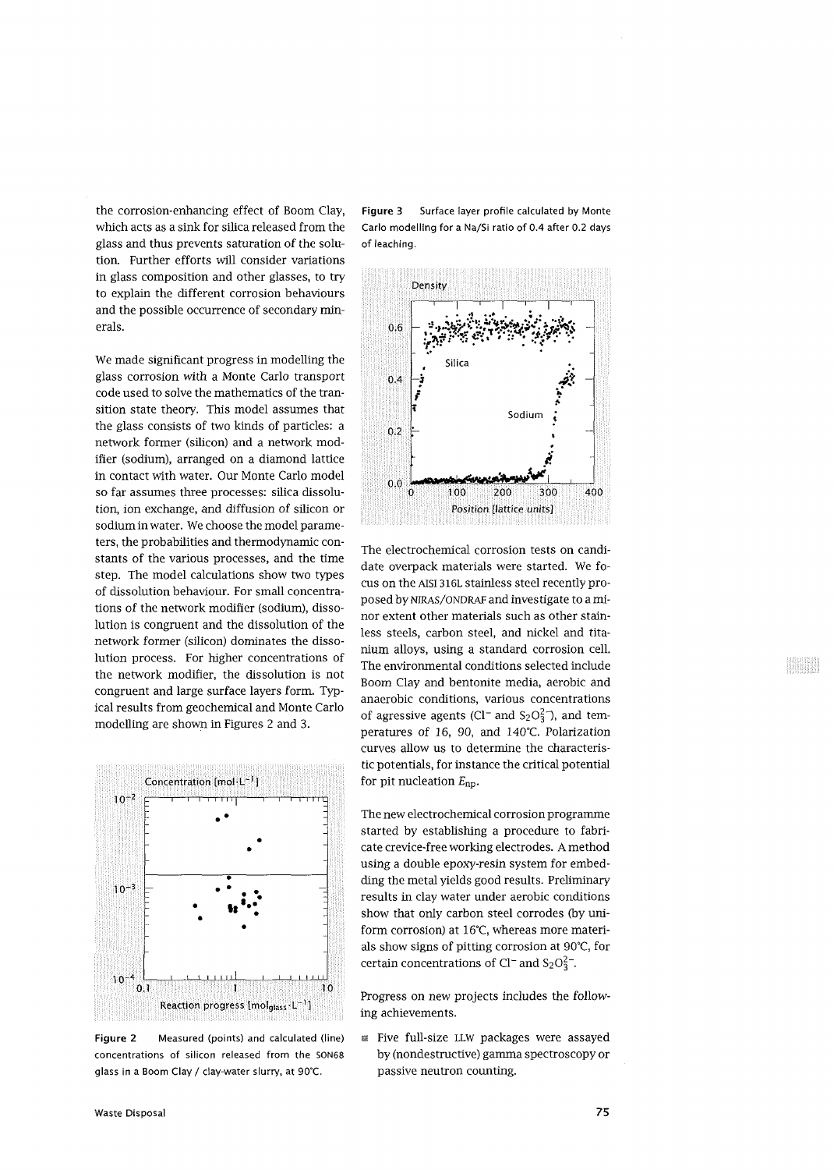the corrosion-enhancing effect of Boom Clay, which acts as a sink for silica released from the glass and thus prevents saturation of the solution. Further efforts will consider variations in glass composition and other glasses, to try to explain the different corrosion behaviours and the possible occurrence of secondary minerals.

We made significant progress in modelling the glass corrosion with a Monte Carlo transport code used to solve the mathematics of the transition state theory. This model assumes that the glass consists of two kinds of particles: a network former (silicon) and a network modifier (sodium), arranged on a diamond lattice in contact with water. Our Monte Carlo model so far assumes three processes: silica dissolution, ion exchange, and diffusion of silicon or sodium in water. We choose the model parameters, the probabilities and thermodynamic constants of the various processes, and the time step. The model calculations show two types of dissolution behaviour. For small concentrations of the network modifier (sodium), dissolution is congruent and the dissolution of the network former (silicon) dominates the dissolution process. For higher concentrations of the network modifier, the dissolution is not congruent and large surface layers form. Typical results from geochemical and Monte Carlo modelling are shown in Figures 2 and 3.



**Figure 2** Measured (points) and calculated (line) concentrations of silicon released from the SON68 glass in a Boom Clay/ clay-water slurry, at 90°C.

**Figure 3** Surface layer profile calculated by Monte Carlo modelling for a Na/Si ratio of 0.4 after 0.2 days of leaching.



The electrochemical corrosion tests on candidate overpack materials were started. We focus on the Aisi 316L stainless steel recently proposed by NIRAS/ONDRAF and investigate to a minor extent other materials such as other stainless steels, carbon steel, and nickel and titanium alloys, using a standard corrosion cell. The environmental conditions selected include Boom Clay and bentonite media, aerobic and anaerobic conditions, various concentrations of agressive agents (Cl<sup>-</sup> and S<sub>2</sub>O<sub>3</sub><sup>-</sup>), and temperatures of 16, 90, and 140°C. Polarization curves allow us to determine the characteristic potentials, for instance the critical potential for pit nucleation *Enp.*

The new electrochemical corrosion programme started by establishing a procedure to fabricate crevice-free working electrodes. A method using a double epoxy-resin system for embedding the metal yields good results. Preliminary results in clay water under aerobic conditions show that only carbon steel corrodes (by uniform corrosion) at 16°C, whereas more materials show signs of pitting corrosion at 90°C, for certain concentrations of Cl<sup>-</sup> and S<sub>2</sub>O<sub>3</sub><sup>-</sup>.

Progress on new projects includes the following achievements.

**Five full-size LLW packages were assayed** by (nondestructive) gamma spectroscopy or passive neutron counting.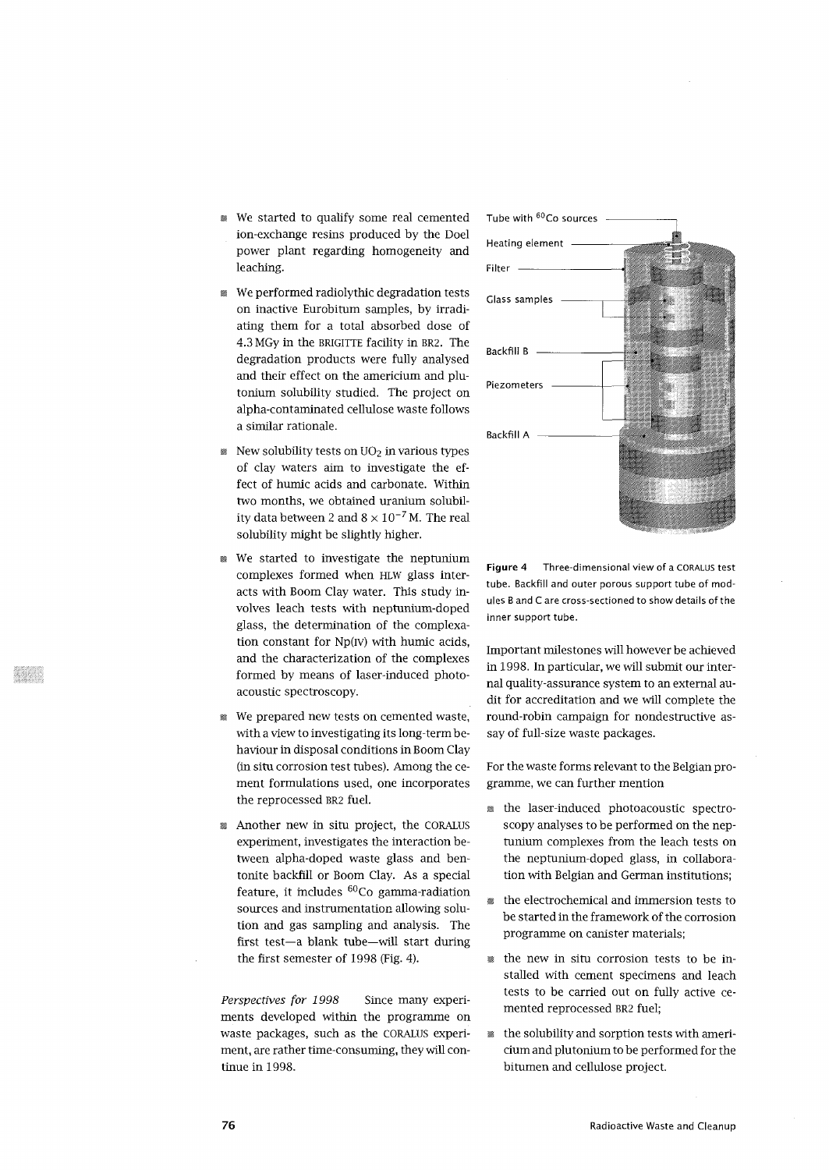- We started to qualify some real cemented ion-exchange resins produced by the Doel power plant regarding homogeneity and leaching.
- We performed radiolythic degradation tests on inactive Eurobitum samples, by irradiating them for a total absorbed dose of 4.3 MGy in the BRIGITTE facility in BR2. The degradation products were fully analysed and their effect on the americium and plutonium solubility studied. The project on alpha-contaminated cellulose waste follows a similar rationale.
- $\mathbb R$  New solubility tests on UO<sub>2</sub> in various types of clay waters aim to investigate the effect of humic acids and carbonate. Within two months, we obtained uranium solubility data between 2 and  $8 \times 10^{-7}$  M. The real solubility might be slightly higher.
- We started to investigate the neptunium complexes formed when HLW glass interacts with Boom Clay water. This study involves leach tests with neptunium-doped glass, the determination of the complexation constant for Np(rv) with humic acids, and the characterization of the complexes formed by means of laser-induced photoacoustic spectroscopy.
- We prepared new tests on cemented waste, with a view to investigating its long-term behaviour in disposal conditions in Boom Clay (in situ corrosion test tubes). Among the cement formulations used, one incorporates the reprocessed BR2 fuel.
- *m* Another new in situ project, the CORALUS experiment, investigates the interaction between alpha-doped waste glass and bentonite backfill or Boom Clay. As a special feature, it includes <sup>60</sup>Co gamma-radiation sources and instrumentation allowing solution and gas sampling and analysis. The first test—a blank tube—will start during the first semester of 1998 (Fig. 4).

*Perspectives for 1998* Since many experiments developed within the programme on waste packages, such as the CORALUS experiment, are rather time-consuming, they will continue in 1998.



**Figure 4** Three-dimensional view of a CORALUS test tube. Backfill and outer porous support tube of modules B and C are cross-sectioned to show details of the inner support tube.

Important milestones will however be achieved in 1998. In particular, we will submit our internal quality-assurance system to an external audit for accreditation and we will complete the round-robin campaign for nondestructive assay of full-size waste packages.

For the waste forms relevant to the Belgian programme, we can further mention

- the laser-induced photoacoustic spectroscopy analyses to be performed on the neptunium complexes from the leach tests on the neptunium-doped glass, in collaboration with Belgian and German institutions;
- the electrochemical and immersion tests to be started in the framework of the corrosion programme on canister materials;
- the new in situ corrosion tests to be installed with cement specimens and leach tests to be carried out on fully active cemented reprocessed BR2 fuel;
- the solubility and sorption tests with americium and plutonium to be performed for the bitumen and cellulose project.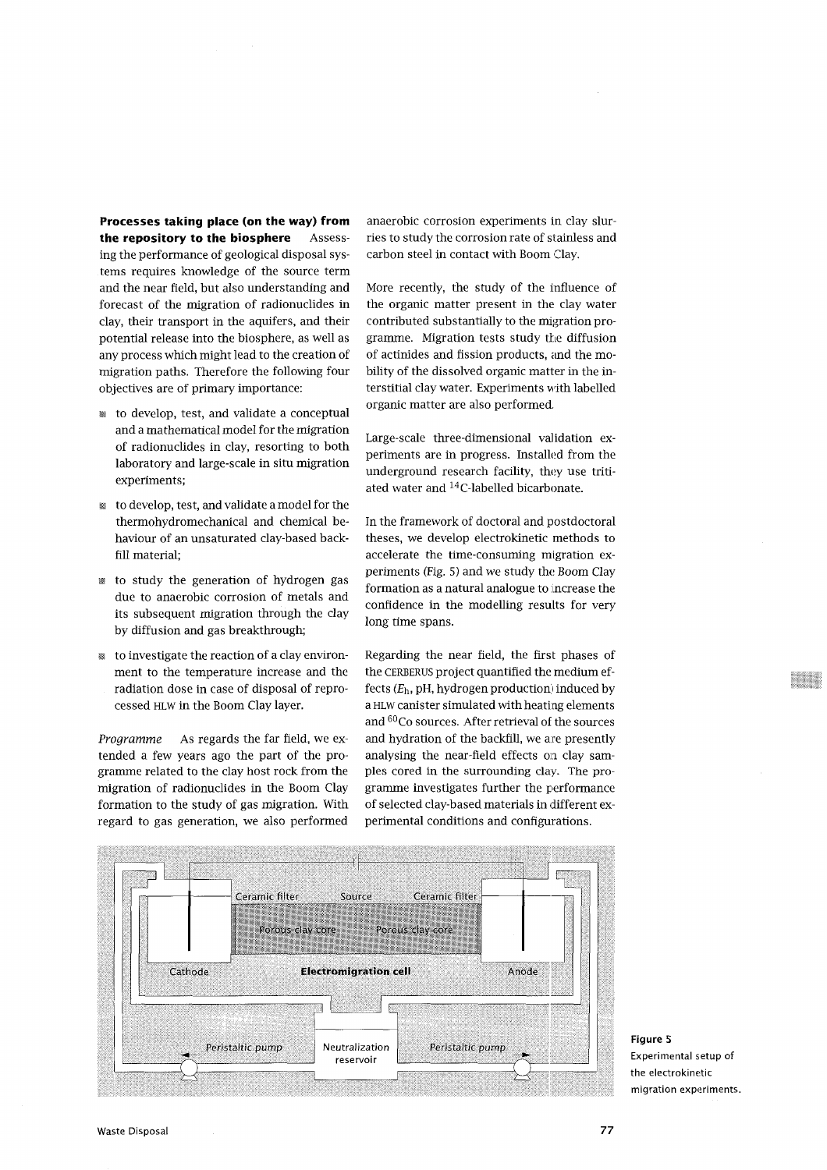**Processes taking place (on the way) from the repository to the biosphere** Assess-

ing the performance of geological disposal systems requires knowledge of the source term and the near field, but also understanding and forecast of the migration of radionuclides in clay, their transport in the aquifers, and their potential release into the biosphere, as well as any process which might lead to the creation of migration paths. Therefore the following four objectives are of primary importance:

- to develop, test, and validate a conceptual and a mathematical model for the migration of radionuclides in clay, resorting to both laboratory and large-scale in situ migration experiments;
- to develop, test, and validate a model for the thermohydromechanical and chemical behaviour of an unsaturated clay-based backfill material;
- to study the generation of hydrogen gas due to anaerobic corrosion of metals and its subsequent migration through the clay by diffusion and gas breakthrough;
- to investigate the reaction of a clay environment to the temperature increase and the radiation dose in case of disposal of reprocessed HLW in the Boom Clay layer.

*Programme* As regards the far field, we extended a few years ago the part of the programme related to the clay host rock from the migration of radionuclides in the Boom Clay formation to the study of gas migration. With regard to gas generation, we also performed

anaerobic corrosion experiments in clay slurries to study the corrosion rate of stainless and carbon steel in contact with Boom Clay.

More recently, the study of the influence of the organic matter present in the clay water contributed substantially to the migration programme. Migration tests study the diffusion of actinides and fission products, and the mobility of the dissolved organic matter in the interstitial clay water. Experiments with labelled organic matter are also performed.

Large-scale three-dimensional validation experiments are in progress. Installed from the underground research facility, they use tritiated water and <sup>14</sup>C-labelled bicarbonate.

In the framework of doctoral and postdoctoral theses, we develop electrokinetic methods to accelerate the time-consuming migration experiments (Fig. 5) and we study the Boom Clay formation as a natural analogue to increase the confidence in the modelling results for very long time spans.

Regarding the near field, the first phases of the CERBERUS project quantified the medium effects *(Eh,* pH, hydrogen production) induced by a HLW canister simulated with heating elements and <sup>60</sup>Co sources. After retrieval of the sources and hydration of the backfill, we are presently analysing the near-field effects oa clay samples cored in the surrounding clay. The programme investigates further the performance of selected clay-based materials in different experimental conditions and configurations.



**Figure** 5 Experimental setup of the electrokinetic migration experiments.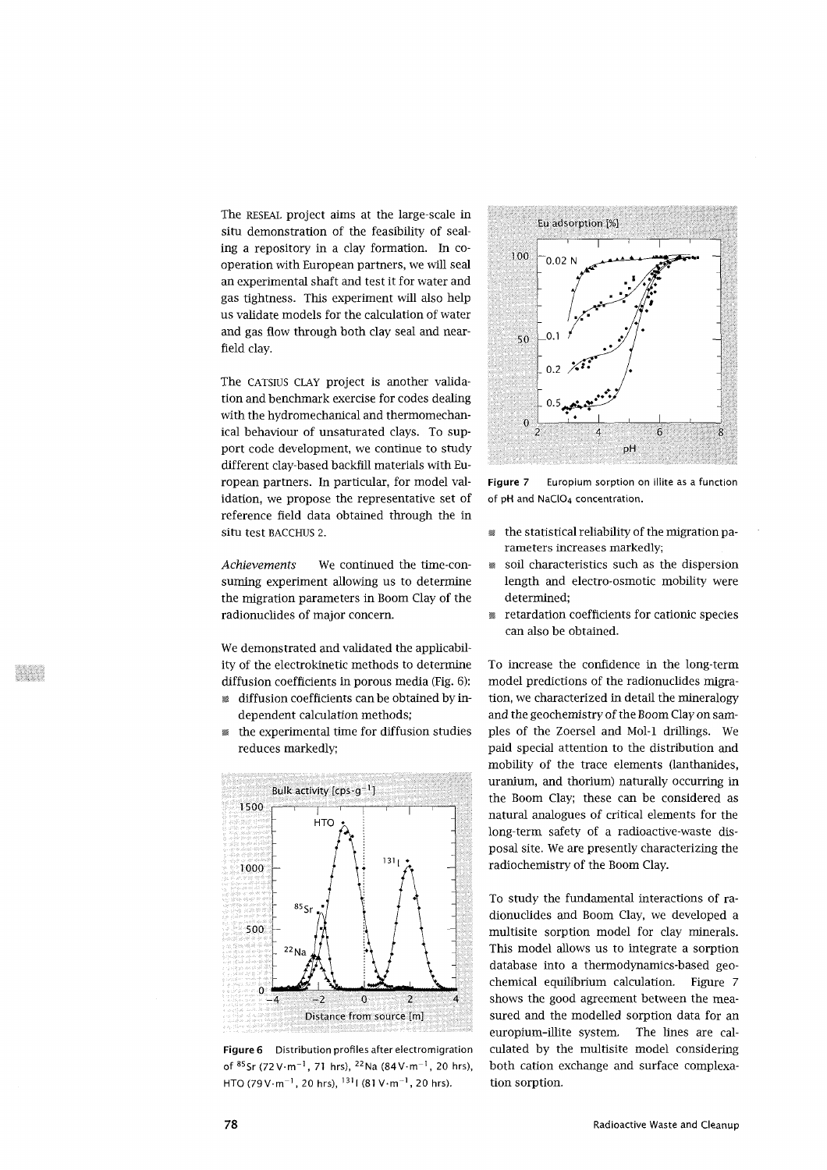The RESEAL project aims at the large-scale in situ demonstration of the feasibility of sealing a repository in a clay formation. In cooperation with European partners, we will seal an experimental shaft and test it for water and gas tightness. This experiment will also help us validate models for the calculation of water and gas flow through both clay seal and nearfield clay.

The CATSIUS CLAY project is another validation and benchmark exercise for codes dealing with the hydromechanical and thermomechanical behaviour of unsaturated clays. To support code development, we continue to study different clay-based backfill materials with European partners. In particular, for model validation, we propose the representative set of reference field data obtained through the in situ test BACCHUS 2.

*Achievements* We continued the time-consuming experiment allowing us to determine the migration parameters in Boom Clay of the radionuclides of major concern.

We demonstrated and validated the applicability of the electrokinetic methods to determine diffusion coefficients in porous media (Fig. 6): *m* diffusion coefficients can be obtained by in-

- dependent calculation methods;
- the experimental time for diffusion studies reduces markedly;



**Figure 6** Distribution profiles after electromigration of  ${}^{85}$ Sr (72 V $\cdot$ m<sup>-1</sup>, 71 hrs), <sup>22</sup>Na (84 V $\cdot$ m<sup>-1</sup>, 20 hrs) HTO (79 V $\cdot$ m $^{-1}$ , 20 hrs),  $^{131}$ I (81 V $\cdot$ m $^{-1}$ , 20 hrs).



**Figure 7** Europium sorption on illite as a function of pH and NaClO<sub>4</sub> concentration.

- the statistical reliability of the migration parameters increases markedly;
- soil characteristics such as the dispersion length and electro-osmotic mobility were determined;
- retardation coefficients for cationic species can also be obtained.

To increase the confidence in the long-term model predictions of the radionuclides migration, we characterized in detail the mineralogy and the geochemistry of the Boom Clay on samples of the Zoersel and Mol-1 drillings. We paid special attention to the distribution and mobility of the trace elements (lanthanides, uranium, and thorium) naturally occurring in the Boom Clay; these can be considered as natural analogues of critical elements for the long-term safety of a radioactive-waste disposal site. We are presently characterizing the radiochemistry of the Boom Clay.

To study the fundamental interactions of radionuclides and Boom Clay, we developed a multisite sorption model for clay minerals. This model allows us to integrate a sorption database into a thermodynamics-based geochemical equilibrium calculation. Figure 7 shows the good agreement between the measured and the modelled sorption data for an europium-illite system. The lines are calculated by the multisite model considering both cation exchange and surface complexation sorption.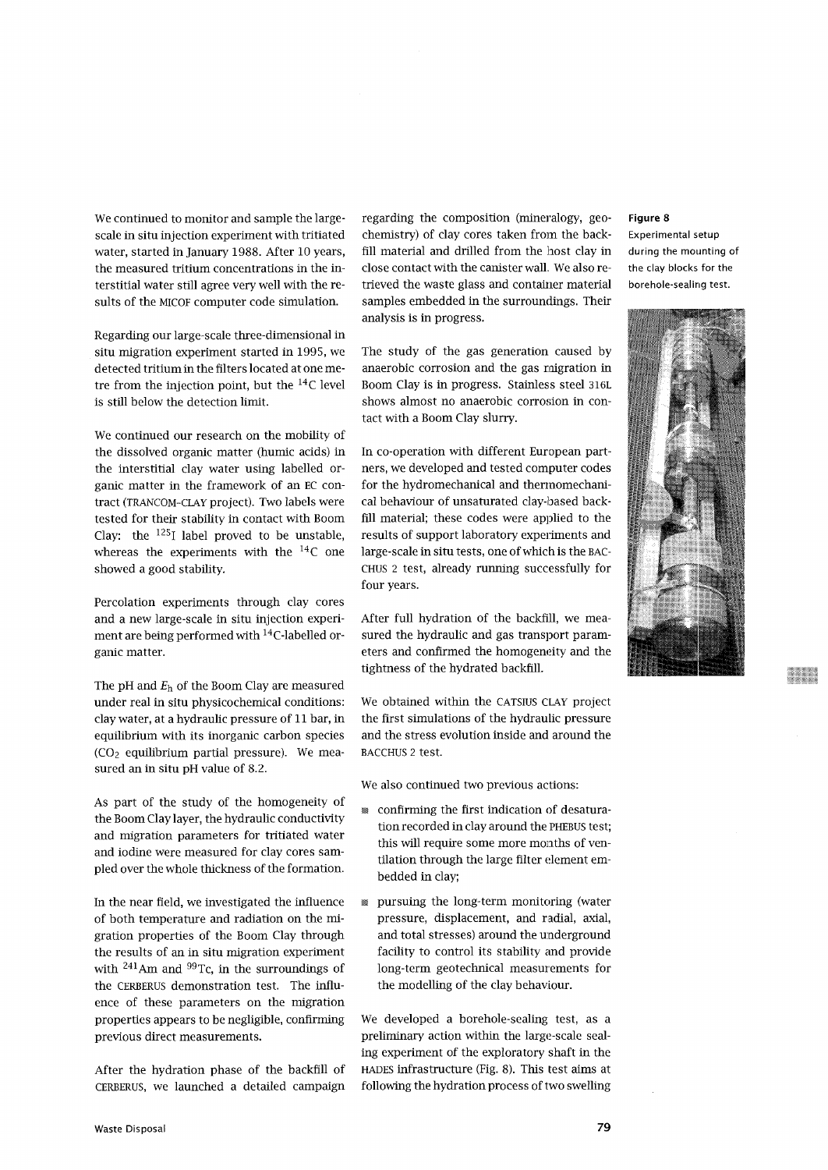We continued to monitor and sample the largescale in situ injection experiment with tritiated water, started in January 1988. After 10 years, the measured tritium concentrations in the interstitial water still agree very well with the results of the MICOF computer code simulation.

Regarding our large-scale three-dimensional in situ migration experiment started in 1995, we detected tritium in the filters located at one metre from the injection point, but the  $^{14}\mathrm{C}$  level is still below the detection limit.

We continued our research on the mobility of the dissolved organic matter (humic acids) in the interstitial clay water using labelled organic matter in the framework of an EC contract (TRANCOM-CLAY project). Two labels were tested for their stability in contact with Boom Clay: the  $^{125}$ I label proved to be unstable, whereas the experiments with the <sup>14</sup>C one showed a good stability.

Percolation experiments through clay cores and a new large-scale in situ injection experiment are being performed with <sup>14</sup>C-labelled organic matter.

The pH and  $E_h$  of the Boom Clay are measured under real in situ physicochemical conditions: clay water, at a hydraulic pressure of 11 bar, in equilibrium with its inorganic carbon species  $(CO<sub>2</sub>$  equilibrium partial pressure). We measured an in situ pH value of 8.2.

As part of the study of the homogeneity of the Boom Clay layer, the hydraulic conductivity and migration parameters for tritiated water and iodine were measured for clay cores sampled over the whole thickness of the formation.

In the near field, we investigated the influence of both temperature and radiation on the migration properties of the Boom Clay through the results of an in situ migration experiment with <sup>241</sup>Am and <sup>99</sup>Tc, in the surroundings of the CERBERUS demonstration test. The influence of these parameters on the migration properties appears to be negligible, confirming previous direct measurements.

After the hydration phase of the backfill of CERBERUS, we launched a detailed campaign

regarding the composition (mineralogy, geochemistry) of clay cores taken from the backfill material and drilled from the host clay in close contact with the canister wall. We also retrieved the waste glass and container material samples embedded in the surroundings. Their analysis is in progress.

The study of the gas generation caused by anaerobic corrosion and the gas migration in Boom Clay is in progress. Stainless steel 316L shows almost no anaerobic corrosion in contact with a Boom Clay slurry.

In co-operation with different European partners, we developed and tested computer codes for the hydromechanical and thermomechanical behaviour of unsaturated clay-based backfill material; these codes were applied to the results of support laboratory experiments and large-scale in situ tests, one of which is the BAC-CHUS 2 test, already running successfully for four years.

After full hydration of the backfill, we measured the hydraulic and gas transport parameters and confirmed the homogeneity and the tightness of the hydrated backfill.

We obtained within the CATSIUS CLAY project the first simulations of the hydraulic pressure and the stress evolution inside and around the BACCHUS 2 test.

We also continued two previous actions:

- confirming the first indication of desaturation recorded in clay around the PHEBUS test; this will require some more months of ventilation through the large filter element embedded in clay;
- pursuing the long-term monitoring (water pressure, displacement, and radial, axial, and total stresses) around the underground facility to control its stability and provide long-term geotechnical measurements for the modelling of the clay behaviour.

We developed a borehole-sealing test, as a preliminary action within the large-scale sealing experiment of the exploratory shaft in the HADES infrastructure (Fig. 8). This test aims at following the hydration process of two swelling

# **Figure 8**

Experimental setup during the mounting of the clay blocks for the borehole-sealing test.

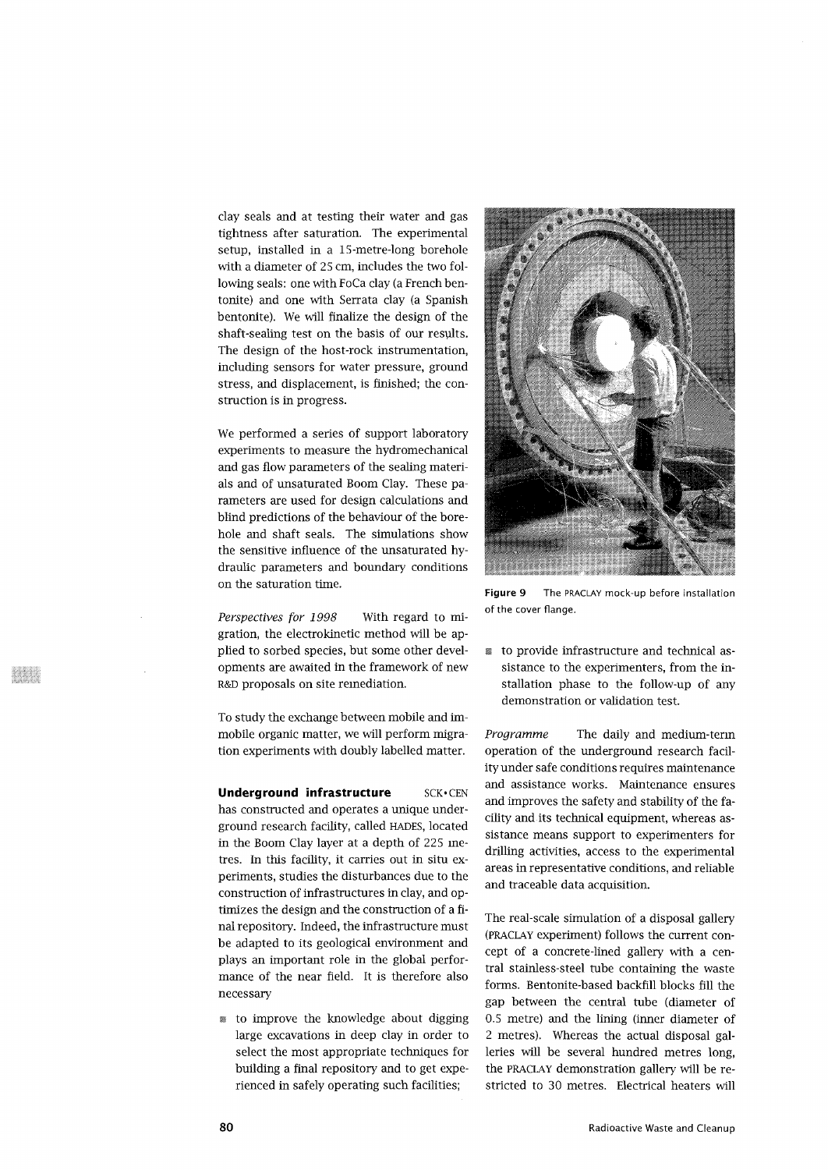clay seals and at testing their water and gas tightness after saturation. The experimental setup, installed in a IS-metre-long borehole with a diameter of 25 cm, includes the two following seals: one with FoCa clay (a French bentonite) and one with Serrata clay (a Spanish bentonite). We will finalize the design of the shaft-sealing test on the basis of our results. The design of the host-rock instrumentation, including sensors for water pressure, ground stress, and displacement, is finished; the construction is in progress.

We performed a series of support laboratory experiments to measure the hydromechanical and gas flow parameters of the sealing materials and of unsaturated Boom Clay. These parameters are used for design calculations and blind predictions of the behaviour of the borehole and shaft seals. The simulations show the sensitive influence of the unsaturated hydraulic parameters and boundary conditions on the saturation time.

*Perspectives for 1998* With regard to migration, the electrokinetic method will be applied to sorbed species, but some other developments are awaited in the framework of new R&D proposals on site remediation.

To study the exchange between mobile and immobile organic matter, we will perform migration experiments with doubly labelled matter.

**Underground infrastructure SCK.CEN** has constructed and operates a unique underground research facility, called HADES, located in the Boom Clay layer at a depth of 225 metres. In this facility, it carries out in situ experiments, studies the disturbances due to the construction of infrastructures in clay, and optimizes the design and the construction of a final repository. Indeed, the infrastructure must be adapted to its geological environment and plays an important role in the global performance of the near field. It is therefore also necessary

• to improve the knowledge about digging large excavations in deep clay in order to select the most appropriate techniques for building a final repository and to get experienced in safely operating such facilities;



Figure 9 The PRACLAY mock-up before installation of the cover flange.

• to provide infrastructure and technical assistance to the experimenters, from the installation phase to the follow-up of any demonstration or validation test.

*Programme* The daily and medium-term operation of the underground research facility under safe conditions requires maintenance and assistance works. Maintenance ensures and improves the safety and stability of the facility and its technical equipment, whereas assistance means support to experimenters for drilling activities, access to the experimental areas in representative conditions, and reliable and traceable data acquisition.

The real-scale simulation of a disposal gallery (PRACLAY experiment) follows the current concept of a concrete-lined gallery with a central stainless-steel tube containing the waste forms. Bentonite-based backfill blocks fill the gap between the central tube (diameter of 0.5 metre) and the lining (inner diameter of 2 metres). Whereas the actual disposal galleries will be several hundred metres long, the PRACLAY demonstration gallery will be restricted to 30 metres. Electrical heaters will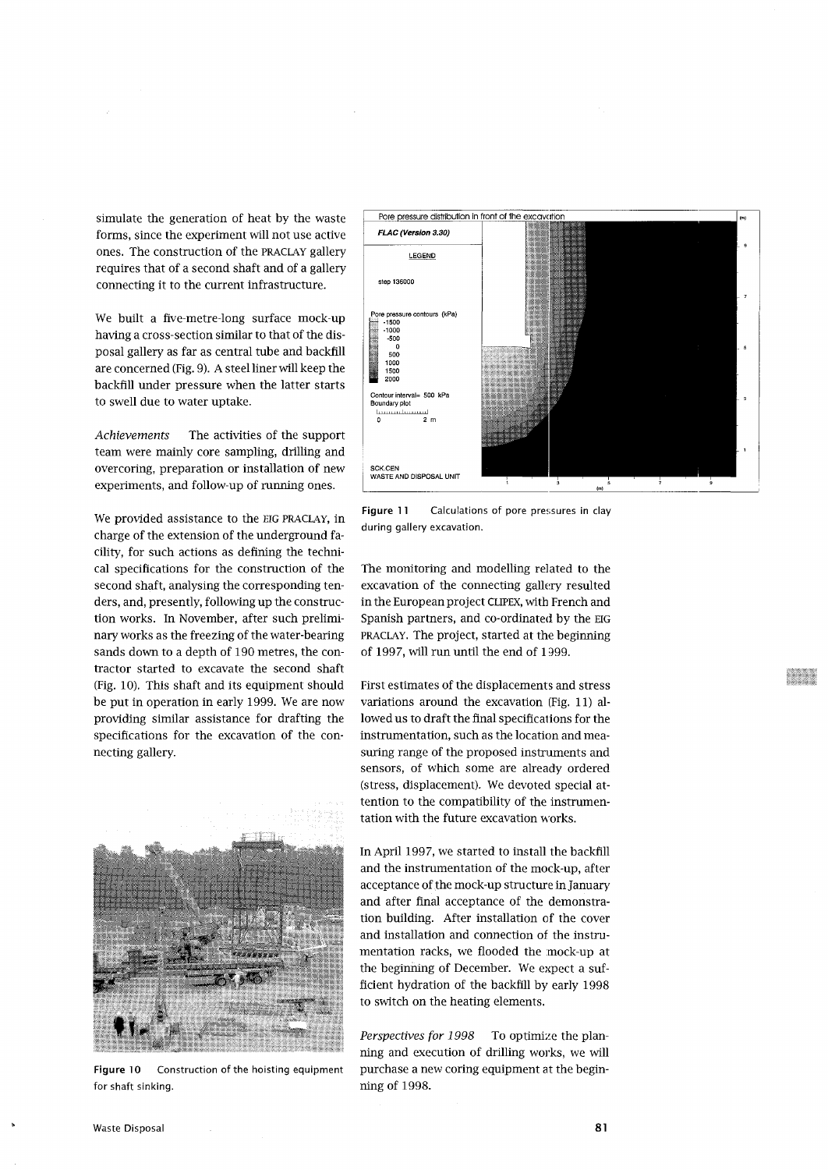simulate the generation of heat by the waste forms, since the experiment will not use active ones. The construction of the PRACLAY gallery requires that of a second shaft and of a gallery connecting it to the current infrastructure.

We built a five-metre-long surface mock-up having a cross-section similar to that of the disposal gallery as far as central tube and backfill are concerned (Fig. 9). A steel liner will keep the backfill under pressure when the latter starts to swell due to water uptake.

*Achievements* The activities of the support team were mainly core sampling, drilling and overcoring, preparation or installation of new experiments, and follow-up of running ones.

We provided assistance to the EIG PRACLAY, in charge of the extension of the underground facility, for such actions as defining the technical specifications for the construction of the second shaft, analysing the corresponding tenders, and, presently, following up the construction works. In November, after such preliminary works as the freezing of the water-bearing sands down to a depth of 190 metres, the contractor started to excavate the second shaft (Fig. 10). This shaft and its equipment should be put in operation in early 1999. We are now providing similar assistance for drafting the specifications for the excavation of the connecting gallery.



**Figure 10** Construction of the hoisting equipment for shaft sinking.



**Figure 11** Calculations of pore pressures in clay during gallery excavation.

The monitoring and modelling related to the excavation of the connecting gallery resulted in the European project CLIPEX, with French and Spanish partners, and co-ordinated by the EIG PRACLAY. The project, started at the beginning of 1997, will run until the end of 1999.

First estimates of the displacements and stress variations around the excavation (Fig. 11) allowed us to draft the final specifications for the instrumentation, such as the location and measuring range of the proposed instruments and sensors, of which some are already ordered (stress, displacement). We devoted special attention to the compatibility of the instrumentation with the future excavation works.

In April 1997, we started to install the backfill and the instrumentation of the mock-up, after acceptance of the mock-up structure in January and after final acceptance of the demonstration building. After installation of the cover and installation and connection of the instrumentation racks, we flooded the mock-up at the beginning of December. We expect a sufficient hydration of the backfill by early 1998 to switch on the heating elements.

*Perspectives for 1998* To optimize the planning and execution of drilling works, we will purchase a new coring equipment at the beginning of 1998.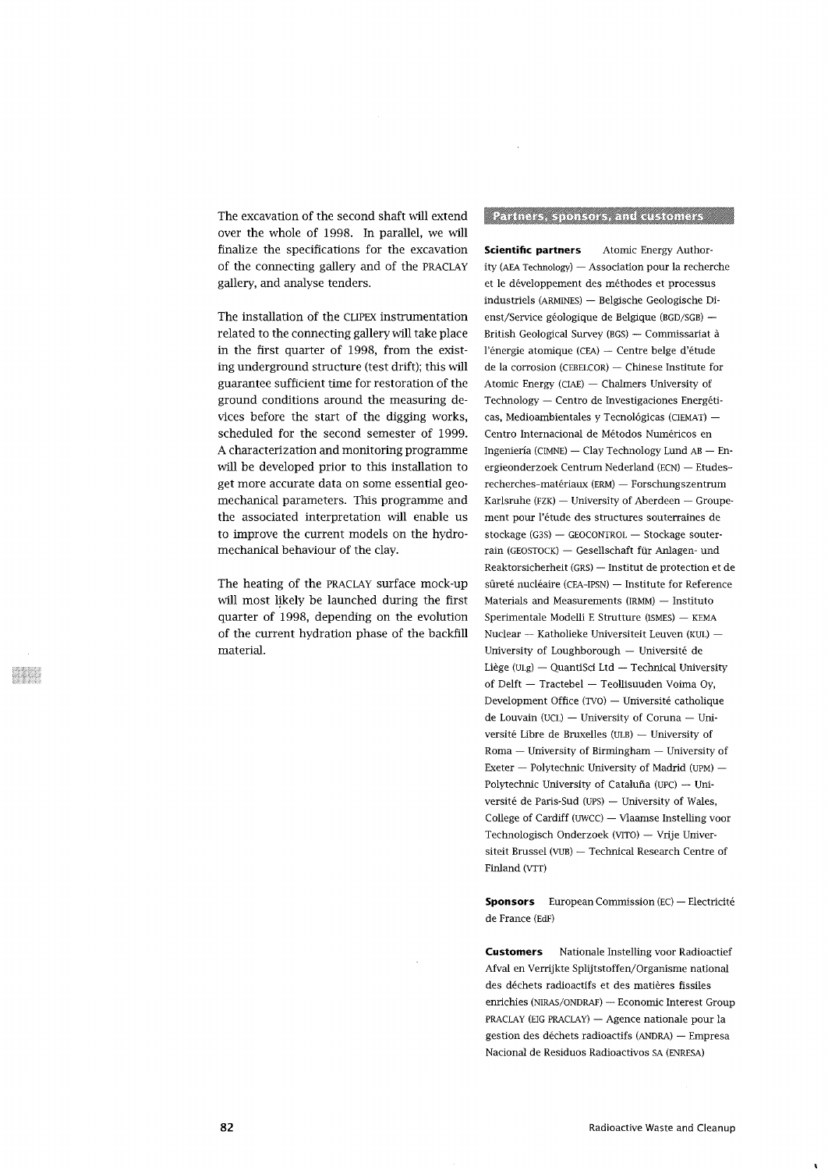The excavation of the second shaft will extend over the whole of 1998. In parallel, we will finalize the specifications for the excavation of the connecting gallery and of the PRACLAY gallery, and analyse tenders.

The installation of the CLIPEX instrumentation related to the connecting gallery will take place in the first quarter of 1998, from the existing underground structure (test drift); this will guarantee sufficient time for restoration of the ground conditions around the measuring devices before the start of the digging works, scheduled for the second semester of 1999. A characterization and monitoring programme will be developed prior to this installation to get more accurate data on some essential geomechanical parameters. This programme and the associated interpretation will enable us to improve the current models on the hydromechanical behaviour of the clay.

The heating of the PRACLAY surface mock-up will most likely be launched during the first quarter of 1998, depending on the evolution of the current hydration phase of the backfill material.

# Pariners, sponsors, and distomers

 $\mathcal{L}$ 

**Scientific partners** Atomic Energy Authority (AEA Technology) — Association pour la recherche et le developpement des methodes et processus industriels (ARMINES) — Belgische Geologische Dienst/Service géologique de Belgique (BGD/SGB) — British Geological Survey (BGS) — Commissariat a l'énergie atomique (CEA) — Centre belge d'étude de la corrosion (CEBELCOR) — Chinese Institute for Atomic Energy (CIAE) — Chalmers University of Technology — Centro de Investigaciones Energéticas, Medioambientales y Tecnológicas (CIEMAT) -Centro Internacional de Métodos Numéricos en Ingenieria (CIMNE) — Clay Technology Lund AB — Energieonderzoek Centrum Nederland (ECN) — Etudesrecherches-materiaux (ERM) — Forschungszentrum Karlsruhe (FZK) — University of Aberdeen — Groupement pour l'étude des structures souterraines de stockage (G3S) — GEOCONTROL — Stockage souterrain (GEOSTOCK) — Gesellschaft fur Anlagen- und Reaktorsicherheit (GRS) — Institut de protection et de sûreté nucléaire (CEA-IPSN) — Institute for Reference Materials and Measurements (IRMM) — Instituto Sperimentale Modelli E Strutture (ISMES) — KEMA Nuclear — Katholieke Universiteit Leuven (KUL) — University of Loughborough — Universite de Liege (ULg) — QuantiSci Ltd — Technical University of Delft — Tractebel — Teollisuuden Voima Oy, Development Office (TVO) — Universite catholique de Louvain (UCL) — University of Coruna — Universite Libre de Bruxelles (ULB) — University of versite libre de Bruxenes (OLD) — University of Exemple – Polytechnic University of Madrid (UPM) — Polytechnic University of  $External$  - Polytechnic University of Madrid (UPM)  $-$ Polytechnic University of Cataluña (UPC) — Université de Paris-Sud (UPS) — University of Wales, College of Cardiff (UWCC) — Vlaamse Instelling voor Technologisch Onderzoek (VITO) — Vrije Universiteit Brussel (VUB) — Technical Research Centre of Finland (VTT)

**Sponsors** European Commission (EC) — Electricite de France (EdF)

**Customers** Nationale Instelling voor Radioactief Afval en Verrijkte Splijtstoffen/Organisme national des déchets radioactifs et des matières fissiles enrichies (NIRAS/ONDRAF) — Economic Interest Group PRACLAY (EIG PRACLAY) — Agence nationale pour la gestion des dechets radioactifs (ANDRA) — Empresa Nacional de Residuos Radioactivos SA (ENRESA)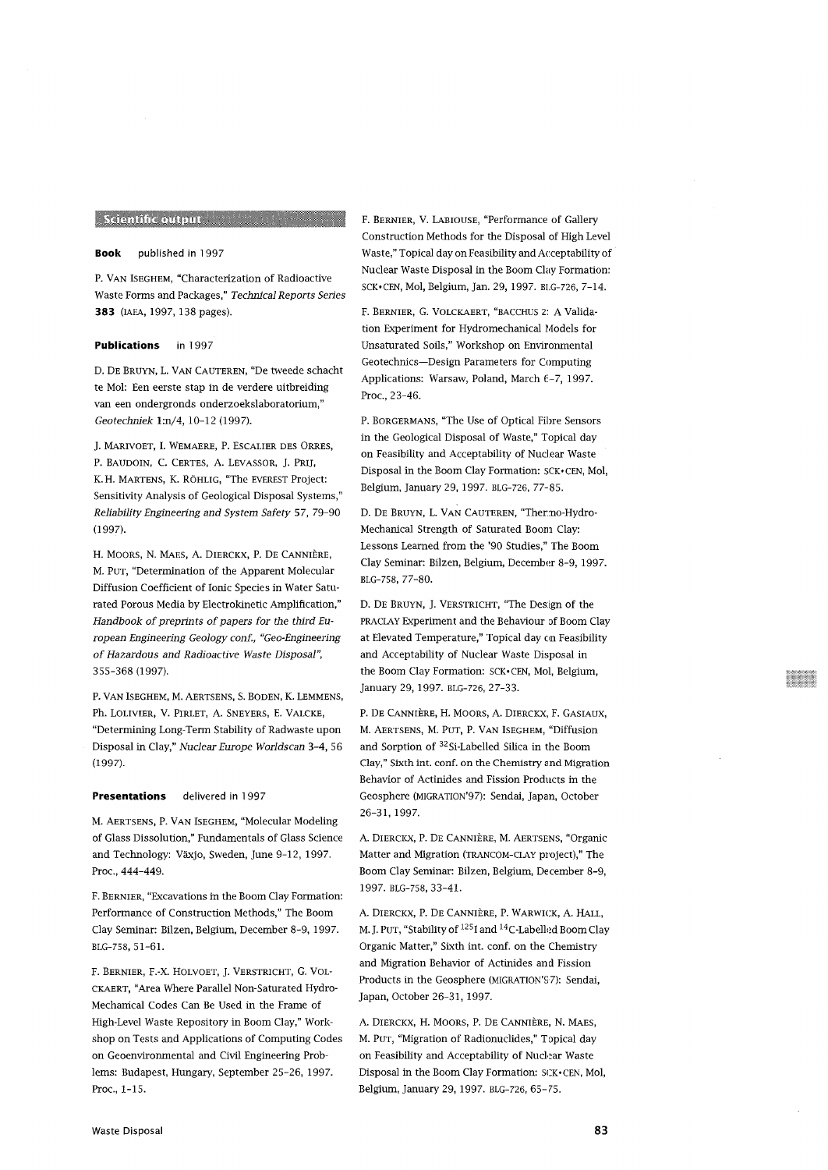# Seientific output and the company

# **Book** published in 1997

P. VAN ISEGHEM, "Characterization of Radioactive Waste Forms and Packages," *Technical Reports Series* 383 (IAEA, 1997, 138 pages).

### **Publications** in 1997

D. DE BRUYN, L. VAN CAUTEREN, "De tweede schacht te Mol: Een eerste stap in de verdere uitbreiding van een ondergronds onderzoekslaboratorium," *Geotechniek* l:n/4, 10-12 (1997).

J. MARIVOET, I. WEMAERE, P. ESCALIER DES ORRES, P. BAUDOIN, C. CERTES, A. LEVASSOR, J. PRIJ, K.H. MARTENS, K. RÖHLIG, "The EVEREST Project: Sensitivity Analysis of Geological Disposal Systems," *Reliability Engineering and System Safety* 57, 79-90 (1997).

H. MOORS, N. MAES, A. DIERCKX, P. DE CANNIÈRE, M. PUT, "Determination of the Apparent Molecular Diffusion Coefficient of Ionic Species in Water Saturated Porous Media by Electrokinetic Amplification," *Handbook of preprints of papers for the third European Engineering Geology conf, "Geo-Engineering of Hazardous and Radioactive Waste Disposal",* 355-368 (1997).

P. VAN ISEGHEM, M. AERTSENS, S. BODEN, K. LEMMENS, Ph. LOLIVIER, V. PIRLET, A. SNEYERS, E. VALCKE, "Determining Long-Term Stability of Radwaste upon Disposal in Clay," *Nuclear Europe Worldscan* 3-4, 56 (1997).

## **Presentations** delivered in 1997

M. AERTSENS, P. VAN ISEGHEM, "Molecular Modeling of Glass Dissolution," Fundamentals of Glass Science and Technology: Växjo, Sweden, June 9-12, 1997. Proc, 444-449.

F. BERNIER, "Excavations in the Boom Clay Formation: Performance of Construction Methods," The Boom Clay Seminar: Bilzen, Belgium, December 8-9, 1997. BLG-758, 51-61.

F. BERNIER, F.-X. HOLVOET, J. VERSTRICHT, G. VOL-CKAERT, "Area Where Parallel Non-Saturated Hydro-Mechanical Codes Can Be Used in the Frame of High-Level Waste Repository in Boom Clay," Workshop on Tests and Applications of Computing Codes on Geoenvironmental and Civil Engineering Problems: Budapest, Hungary, September 25-26, 1997. Proc, 1-15.

F. BERNIER, V. LABIOUSE, "Performance of Gallery Construction Methods for the Disposal of High Level Waste," Topical day on Feasibility and Acceptability of Nuclear Waste Disposal in the Boom Clay Formation: SCK-CEN, Mol, Belgium, Jan. 29, 1997. BI.G-726, 7-14.

F. BERNIER, G. VOLCKAERT, "BACCHUS 2: A Validation Experiment for Hydromechanical Models for Unsaturated Soils," Workshop on Environmental Geotechnics—Design Parameters for Computing Applications: Warsaw, Poland, March 6-7, 1997. Proc, 23-46.

P. BORGERMANS, "The Use of Optical Fibre Sensors in the Geological Disposal of Waste," Topical day on Feasibility and Acceptability of Nuclear Waste Disposal in the Boom Clay Formation: SCK-CEN, Mol, Belgium, January 29, 1997. BLG-726, 77-85.

D. DE BRUYN, L. VAN CAUTEREN, "Thermo-Hydro-Mechanical Strength of Saturated Boom Clay: Lessons Learned from the '90 Studies," The Boom Clay Seminar: Bilzen, Belgium, December 8-9, 1997. BLG-758, 77-80.

D. DE BRUYN, J. VERSTRICHT, "The Design of the PRACLAY Experiment and the Behaviour of Boom Clay at Elevated Temperature," Topical day cm Feasibility and Acceptability of Nuclear Waste Disposal in the Boom Clay Formation: SCK-CEN, Mol, Belgium, January 29, 1997. BLG-726, 27-33.

P. DE CANNIÈRE, H. MOORS, A. DIERCKX, F. GASIAUX, M. AERTSENS, M. PUT, P. VAN ISEGHEM, "Diffusion and Sorption of 32 Si-Labelled Silica in the Boom Clay," Sixth int. conf. on the Chemistry and Migration Behavior of Actinides and Fission Products in the Geosphere (MIGRATION'97): Sendai, Japan, October 26-31, 1997.

A. DIERCKX, P. DE CANNIÈRE, M. AERTSENS, "Organic Matter and Migration (TRANCOM-CLAY project)," The Boom Clay Seminar: Bilzen, Belgium, December 8-9, 1997. BLG-758, 33-41.

A. DIERCKX, P. DE CANNIÈRE, P. WARWICK, A. HALL, M. J. PUT, "Stability of <sup>125</sup>I and <sup>14</sup>C-Labelled Boom Clay Organic Matter," Sixth int. conf. on the Chemistry and Migration Behavior of Actinides and Fission Products in the Geosphere (MIGRATION'S7): Sendai, Japan, October 26-31, 1997.

A. DIERCKX, H. MOORS, P. DE CANNIÈRE, N. MAES, M. PUT, "Migration of Radionuclides," Topical day on Feasibility and Acceptability of Nuclear Waste Disposal in the Boom Clay Formation: SCK> CEN, Mol, Belgium, January 29, 1997. BLG-726, 65-75.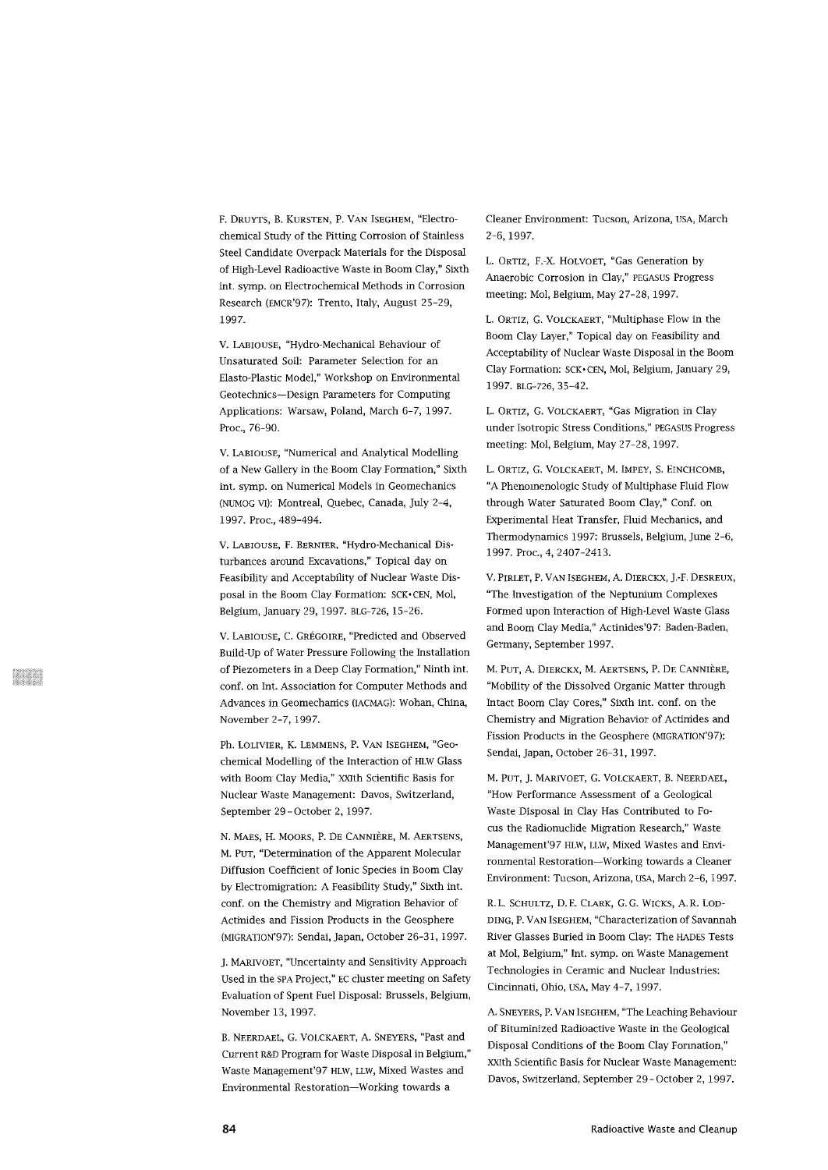F. DRUYTS, B. KURSTEN, P. VAN ISEGHEM, "Electrochemical Study of the Pitting Corrosion of Stainless Steel Candidate Overpack Materials for the Disposal of High-Level Radioactive Waste in Boom Clay," Sixth int. symp. on Electrochemical Methods in Corrosion Research (EMCR'97): Trento, Italy, August 25-29, 1997.

V. LABIOUSE, "Hydro-Mechanical Behaviour of Unsaturated Soil: Parameter Selection for an Elasto-Plastic Model," Workshop on Environmental Geotechnics—Design Parameters for Computing Applications: Warsaw, Poland, March 6-7, 1997. Proc, 76-90.

V. LABIOUSE, "Numerical and Analytical Modelling of a New Gallery in the Boom Clay Formation," Sixth int. symp. on Numerical Models in Geomechanics (NUMOG VI): Montreal, Quebec, Canada, July 2-4, 1997. Proc, 489-494.

V. LABIOUSE, F. BERNIER, "Hydro-Mechanical Disturbances around Excavations," Topical day on Feasibility and Acceptability of Nuclear Waste Disposal in the Boom Clay Formation: SCK-CEN, Mol, Belgium, January 29, 1997. BLG-726, 15-26.

V. LABIOUSE, C. GREGOIRE, "Predicted and Observed Build-Up of Water Pressure Following the Installation of Piezometers in a Deep Clay Formation," Ninth int. conf. on Int. Association for Computer Methods and Advances in Geomechanics (IACMAG): Wohan, China, November 2-7, 1997.

Ph. LOLIVIER, K. LEMMENS, P. VAN ISEGHEM, "GeOchemical Modelling of the Interaction of HLW Glass with Boom Clay Media," XXIth Scientific Basis for Nuclear Waste Management: Davos, Switzerland, September 29-October 2, 1997.

N. MAES, H. MOORS, P. DE CANNIERE, M. AERTSENS, M. PUT, "Determination of the Apparent Molecular Diffusion Coefficient of Ionic Species in Boom Clay by Electromigration: A Feasibility Study," Sixth int. conf. on the Chemistry and Migration Behavior of Actinides and Fission Products in the Geosphere (MIGRATTON'97): Sendai, Japan, October 26-31, 1997.

J. MARIVOET, "Uncertainty and Sensitivity Approach Used in the SPA Project," EC cluster meeting on Safety Evaluation of Spent Fuel Disposal: Brussels, Belgium, November 13, 1997.

B. NEERDAEL, G. VOLCKAERT, A. SNEYERS, "Past and Current R&D Program for Waste Disposal in Belgium," Waste Management'97 HLW, LLW, Mixed Wastes and Environmental Restoration—Working towards a

Cleaner Environment: Tucson, Arizona, USA, March 2-6, 1997.

L. ORTIZ, F.-X. HOLVOET, "Gas Generation by Anaerobic Corrosion in Clay," PEGASUS Progress meeting: Mol, Belgium, May 27-28, 1997.

L. ORTIZ, G. VOLCKAERT, "Multiphase Flow in the Boom Clay Layer," Topical day on Feasibility and Acceptability of Nuclear Waste Disposal in the Boom Clay Formation: SCK-CEN, Mol, Belgium, January 29, 1997. BLG-726, 35-42.

L. ORTIZ, G. VOLCKAERT, "Gas Migration in Clay under Isotropic Stress Conditions," PEGASUS Progress meeting: Mol, Belgium, May 27-28, 1997.

L. ORTIZ, G. VOLCKAERT, M. IMPEY, S. EINCHCOMB, "A Phenomenologic Study of Multiphase Fluid Flow through Water Saturated Boom Clay," Conf. on Experimental Heat Transfer, Fluid Mechanics, and Thermodynamics 1997: Brussels, Belgium, June 2-6, 1997. Proc., 4, 2407-2413.

V. PIRLET, P. VAN ISEGHEM, A. DIERCKX, J.-F. DESREUX, "The Investigation of the Neptunium Complexes Formed upon Interaction of High-Level Waste Glass and Boom Clay Media," Actinides'97: Baden-Baden, Germany, September 1997.

M. PUT, A. DIERCKX, M. AERTSENS, P. DE CANNIERE, "Mobility of the Dissolved Organic Matter through Intact Boom Clay Cores," Sixth int. conf. on the Chemistry and Migration Behavior of Actinides and Fission Products in the Geosphere (MIGRATION'97): Sendai, Japan, October 26-31, 1997.

M. PUT, J. MARIVOET, G. VOLCKAERT, B. NEERDAEL, "How Performance Assessment of a Geological Waste Disposal in Clay Has Contributed to Focus the Radionuclide Migration Research," Waste Management'97 HLW, LLW, Mixed Wastes and Environmental Restoration—Working towards a Cleaner Environment: Tucson, Arizona, USA, March 2-6, 1997.

R.L SCHULTZ, D.E. CLARK, G.G. WICKS, A.R. LOD-DING, P. VAN ISEGHEM, "Characterization of Savannah River Glasses Buried in Boom Clay: The HADES Tests at Mol, Belgium," Int. symp. on Waste Management Technologies in Ceramic and Nuclear Industries: Cincinnati, Ohio, USA, May 4-7, 1997.

A. SNEYERS, P. VAN ISEGHEM, "The Leaching Behaviour of Bituminized Radioactive Waste in the Geological Disposal Conditions of the Boom Clay Formation," xxith Scientific Basis for Nuclear Waste Management: Davos, Switzerland, September 29-October 2, 1997.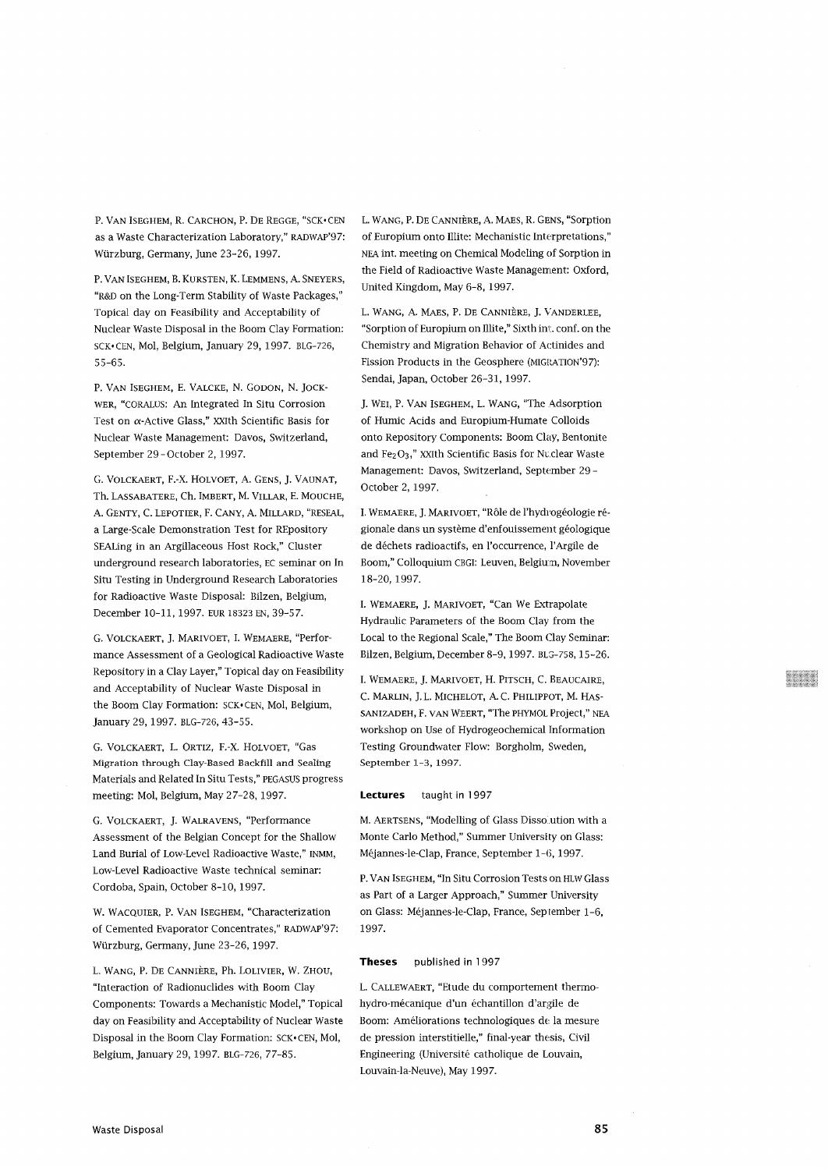P. VAN ISEGHEM, R. CARCHON, P. DE REGGE, "SCK- CEN as a Waste Characterization Laboratory," RADWAP'97: Wurzburg, Germany, June 23-26, 1997.

P. VAN ISEGHEM, B. KURSTEN, K. LEMMENS, A. SNEYERS, "R&D on the Long-Term Stability of Waste Packages," Topical day on Feasibility and Acceptability of Nuclear Waste Disposal in the Boom Clay Formation: SCK«CEN, Mol, Belgium, January 29, 1997. BLG-726, 55-65.

P. VAN ISEGHEM, E. VALCKE, N. GODON, N. JOCK-WER, "CORALUS: An Integrated In Situ Corrosion Test on a-Active Glass," XXIth Scientific Basis for Nuclear Waste Management: Davos, Switzerland, September 29-October 2, 1997.

G. VOLCKAERT, F.-X. HOLVOET, A. GENS, J. VAUNAT, Th. LASSABATERE, Ch. IMBERT, M. VlLLAR, E. MOUCHE, A. GENTY, C. LEPOTIER, F. CANY, A. MILLARD, "RESEAL, a Large-Scale Demonstration Test for REpository SEALing in an Argillaceous Host Rock," Cluster underground research laboratories, EC seminar on In Situ Testing in Underground Research Laboratories for Radioactive Waste Disposal: Bilzen, Belgium, December 10-11, 1997. EUR 18323 EN, 39-57.

G. VOLCKAERT, J. MARIVOET, I. WEMAERE, "Performance Assessment of a Geological Radioactive Waste Repository in a Clay Layer," Topical day on Feasibility and Acceptability of Nuclear Waste Disposal in the Boom Clay Formation: SCK- CEN, Mol, Belgium, January 29, 1997. BLG-726, 43-55.

G. VOLCKAERT, L. ORTIZ, F.-X. HOLVOET, "Gas Migration through Clay-Based Backfill and Sealing Materials and Related In Situ Tests," PEGASUS progress meeting: Mol, Belgium, May 27-28, 1997.

G. VOLCKAERT, J. WALRAVENS, "Performance Assessment of the Belgian Concept for the Shallow Land Burial of Low-Level Radioactive Waste," INMM, Low-Level Radioactive Waste technical seminar: Cordoba, Spain, October 8-10, 1997.

W. WACQUIER, P. VAN ISEGHEM, "Characterization of Cemented Evaporator Concentrates," RADWAP'97: Wurzburg, Germany, June 23-26, 1997.

L. WANG, P. DE CANNIERE, Ph. LOLIVIER, W. ZHOU, "Interaction of Radionuclides with Boom Clay Components: Towards a Mechanistic Model," Topical day on Feasibility and Acceptability of Nuclear Waste Disposal in the Boom Clay Formation: SCK- CEN, Mol, Belgium, January 29, 1997. BLG-726, 77-85.

L. WANG, P. DE CANNIERE, A. MAES, R. GENS, "Sorption of Europium onto Illite: Mechanistic Interpretations," NEA int. meeting on Chemical Modeling of Sorption in the Field of Radioactive Waste Management: Oxford, United Kingdom, May 6-8, 1997.

L. WANG, A. MAES, P. DE CANNIERE, J. VANDERLEE, "Sorption of Europium on Illite," Sixth int. conf. on the Chemistry and Migration Behavior of Actinides and Fission Products in the Geosphere (MIGRATION'97): Sendai, Japan, October 26-31, 1997.

J. WEI, P. VAN ISEGHEM, L. WANG, "The Adsorption of Humic Acids and Europium-Humate Colloids onto Repository Components: Boom Clay, Bentonite and Fe<sub>2</sub>O<sub>3</sub>," xxith Scientific Basis for Nuclear Waste Management: Davos, Switzerland, September 29 - October 2, 1997.

I. WEMAERE, J. MARIVOET, "Role de l'hydrogeologie regionale dans un systeme d'enfouissement geologique de dechets radioactifs, en l'occurrence, l'Argile de Boom," Colloquium CBGI: Leuven, Belgium, November 18-20, 1997.

I. WEMAERE, J. MARIVOET, "Can We Extrapolate Hydraulic Parameters of the Boom Clay from the Local to the Regional Scale." The Boom Clay Seminar: Bilzen, Belgium, December 8-9,1997. BLG-758,15-26.

I. WEMAERE, J. MARIVOET, H. PITSCH, C. BEAUCAIRE, C. MARLIN, J.L. MICHELOT, A. C. PHILIPPOT, M. HAS-SANIZADEH, F. VAN WEERT, "The PHYMOL Project," NEA workshop on Use of Hydrogeochemical Information Testing Groundwater Flow: Borgholm, Sweden, September 1-3, 1997.

#### **Lectures** taught in 1997

M. AERTSENS, "Modelling of Glass Dissolution with a Monte Carlo Method," Summer University on Glass: Mejannes-le-Clap, France, September 1-6, 1997.

P. VAN ISEGHEM, "In Situ Corrosion Tests on HLW Glass as Part of a Larger Approach," Summer University on Glass: Mejannes-le-Clap, France, September 1-6, 1997.

#### **Theses** published in 1997

L. CALLEWAERT, "Etude du comportement thermohydro-mecanique d'un echantillon d'argile de Boom: Ameliorations technologiques de la mesure de pression interstitielle," final-year the:sis, Civil Engineering (Universite catholique de Louvain, Louvain-la-Neuve), May 1997.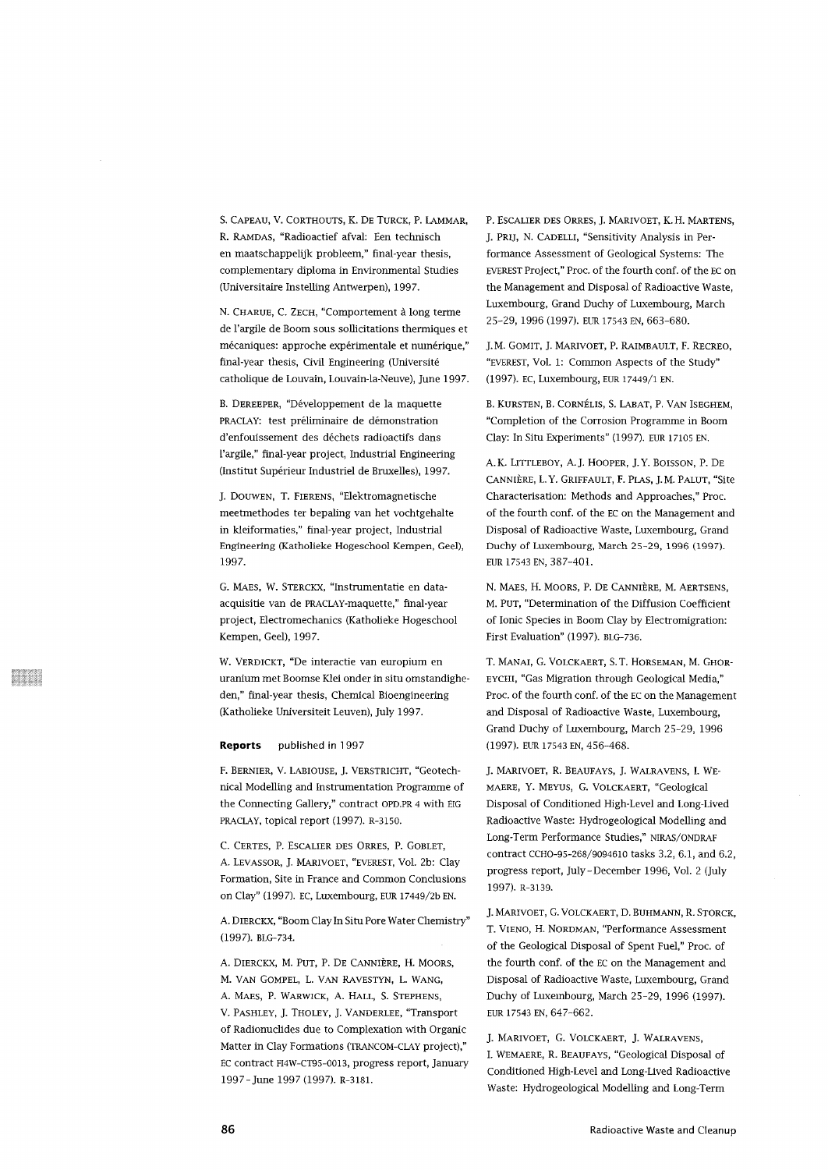S. CAPEAD, V. CORTHOUTS, K. DE TURCK, P. LAMMAR, R. RAMDAS, "Radloactief afval: Een technisch en maatschappelijk probleem," final-year thesis, complementary diploma in Environmental Studies (Universitaire Instelling Antwerpen), 1997.

N. CHARUE, C. ZECH, "Comportement à long terme de l'argile de Boom sous sollicitations thermiques et mécaniques: approche expérimentale et numérique," final-year thesis, Civil Engineering (Université catholique de Louvain, Louvain-la-Neuve), June 1997.

B. DEREEPER, "Développement de la maquette PRACLAY: test préliminaire de démonstration d'enfouissement des déchets radioactifs dans l'argile," final-year project, Industrial Engineering (Institut Supérieur Industriel de Bruxelles), 1997.

J. DOUWEN, T. FIERENS, "Elektromagnetische meetmethodes ter bepaling van het vochtgehalte in kleiformaties," final-year project, Industrial Engineering (Katholieke Hogeschool Kempen, Geel), 1997.

G. MAES, W. STERCKX, "Instrumentatie en dataacquisitie van de PRACLAY-maquette," final-year project, Electromechanics (Katholieke Hogeschool Kempen, Geel), 1997.

W. VERDICKT, "De interactie van europium en uranium met Boomse Klei onder in situ omstandigheden," final-year thesis, Chemical Bioengineering (Katholieke Universiteit Leuven), July 1997.

#### **Reports** published in 1997

F. BERNIER, V. LABIOUSE, J. VERSTRICHT, "Geotechnical Modelling and Instrumentation Programme of the Connecting Gallery," contract OPD.PR 4 with EIG PRACLAY, topical report (1997). R-3150.

C. CERTES, P. ESCALIER DES ORRES, P. GOBLET, A. LEVASSOR, J. MARIVOET, "EVEREST, Vol. 2b: Clay Formation, Site in France and Common Conclusions on Clay" (1997). EC, Luxembourg, EUR 17449/2b EN.

A. DIERCKX, "Boom Clay In Situ Pore Water Chemistry" (1997). BLG-734.

A. DIERCKX, M. PUT, P. DE CANNIÈRE, H. MOORS, M. VAN GOMPEL, L. VAN RAVESTYN, L. WANG, A. MAES, P. WARWICK, A. HALL, S. STEPHENS, V. PASHLEY, J. THOLEY, J. VANDERLEE, "Transport of Radionuclides due to Complexation with Organic Matter in Clay Formations (TRANCOM-CLAY project)," EC contract FI4W-CT95-0013, progress report, January 1997-June 1997 (1997). R-3181.

P. ESCALIER DES ORRES, J. MARIVOET, K. H. MARTENS, J. PRIJ, N. CADELLI, "Sensitivity Analysis in Performance Assessment of Geological Systems: The EVEREST Project," Proc. of the fourth conf. of the EC on the Management and Disposal of Radioactive Waste, Luxembourg, Grand Duchy of Luxembourg, March 25-29, 1996 (1997). EUR 17543 EN, 663-680.

J. M. GOMIT, J. MARIVOET, P. RAIMBAULT, F. RECREO, "EVEREST, Vol. 1: Common Aspects of the Study" (1997). EC, Luxembourg, EUR 17449/1 EN.

B. KURSTEN, B. CORNÉLIS, S. LABAT, P. VAN ISEGHEM, "Completion of the Corrosion Programme in Boom Clay: In Situ Experiments" (1997). EUR 17105 EN.

A.K. LITTLEBOY, A.J. HOOPER, J.Y. BOISSON, P. DE CANNIÈRE, L. Y. GRIFFAULT, F. PLAS, J. M. PALUT, "Site Characterisation: Methods and Approaches," Proc. of the fourth conf. of the EC on the Management and Disposal of Radioactive Waste, Luxembourg, Grand Duchy of Luxembourg, March 25-29, 1996 (1997). EUR 17543 EN, 387-401.

N. MAES, H. MOORS, P. DE CANNIÈRE, M. AERTSENS, M. PUT, "Determination of the Diffusion Coefficient of Ionic Species in Boom Clay by Electromigration: First Evaluation" (1997). BLG-736.

T. MANAI, G. VOLCKAERT, S. T. HORSEMAN, M. GHOR-EYCHI, "Gas Migration through Geological Media," Proc. of the fourth conf. of the EC on the Management and Disposal of Radioactive Waste, Luxembourg, Grand Duchy of Luxembourg, March 25-29, 1996 (1997). EUR 17543 EN, 456-468.

J. MARIVOET, R. BEAUFAYS, J. WALRAVENS, I. WE-MAERE, Y. MEYUS, G. VOLCKAERT, "Geological Disposal of Conditioned High-Level and Long-Lived Radioactive Waste: Hydrogeological Modelling and Long-Term Performance Studies," NIRAS/ONDRAF contract CCHO-95-268/9094610 tasks 3.2, 6.1, and 6.2, progress report, July - December 1996, Vol. 2 (July 1997). R-3139.

J. MARIVOET, G. VOLCKAERT, D. BUHMANN, R. STORCK, T. VIENO, H. NORDMAN, "Performance Assessment of the Geological Disposal of Spent Fuel," Proc. of the fourth conf. of the EC on the Management and Disposal of Radioactive Waste, Luxembourg, Grand Duchy of Luxembourg, March 25-29, 1996 (1997). EUR 17543 EN, 647-662.

J. MARIVOET, G. VOLCKAERT, J. WALRAVENS, I. WEMAERE, R. BEAUFAYS, "Geological Disposal of Conditioned High-Level and Long-Lived Radioactive Waste: Hydrogeological Modelling and Long-Term